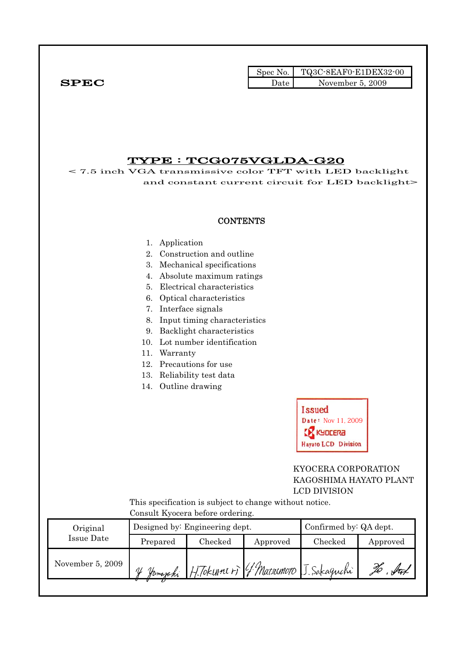|              |      | Spec No. TQ3C-8EAF0-E1DEX32-00 |
|--------------|------|--------------------------------|
| ${\bf SPEC}$ | Date | November 5, 2009               |

### TYPE : TCG075VGLDA-G20

< 7.5 inch VGA transmissive color TFT with LED backlight and constant current circuit for LED backlight>

#### **CONTENTS**

#### 1. Application

- 2. Construction and outline
- 3. Mechanical specifications
- 4. Absolute maximum ratings
- 5. Electrical characteristics
- 6. Optical characteristics
- 7. Interface signals
- 8. Input timing characteristics
- 9. Backlight characteristics
- 10. Lot number identification
- 11. Warranty
- 12. Precautions for use
- 13. Reliability test data
- 14. Outline drawing



### KYOCERA CORPORATION KAGOSHIMA HAYATO PLANT LCD DIVISION

 This specification is subject to change without notice. Consult Kyocera before ordering.

| Original         |                                       | Designed by: Engineering dept.              | Confirmed by: QA dept. |  |          |
|------------------|---------------------------------------|---------------------------------------------|------------------------|--|----------|
| Issue Date       | $\rm Checked$<br>Prepared<br>Approved |                                             |                        |  | Approved |
| November 5, 2009 | ΛL<br>Homaphi                         | $H$ Tokunn $t$ r) (f Matromoto I. Sakaguchi |                        |  |          |
|                  |                                       |                                             |                        |  |          |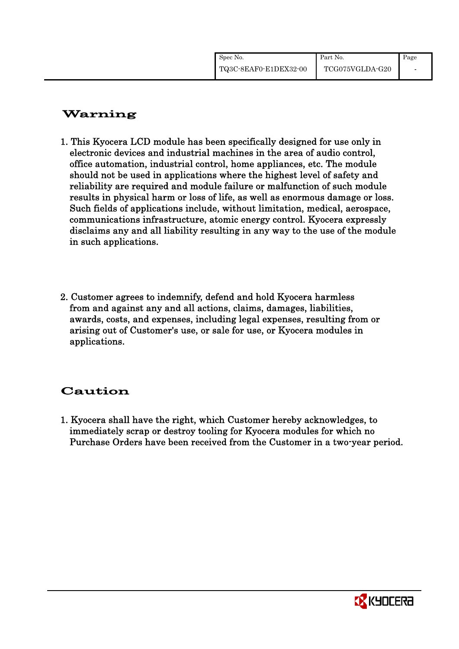| Spec No.              | Part No.        | Page |
|-----------------------|-----------------|------|
| TQ3C-8EAF0-E1DEX32-00 | TCG075VGLDA-G20 |      |

# Warning

- 1. This Kyocera LCD module has been specifically designed for use only in electronic devices and industrial machines in the area of audio control, office automation, industrial control, home appliances, etc. The module should not be used in applications where the highest level of safety and reliability are required and module failure or malfunction of such module results in physical harm or loss of life, as well as enormous damage or loss. Such fields of applications include, without limitation, medical, aerospace, communications infrastructure, atomic energy control. Kyocera expressly disclaims any and all liability resulting in any way to the use of the module in such applications.
- 2. Customer agrees to indemnify, defend and hold Kyocera harmless from and against any and all actions, claims, damages, liabilities, awards, costs, and expenses, including legal expenses, resulting from or arising out of Customer's use, or sale for use, or Kyocera modules in applications.

# Caution

1. Kyocera shall have the right, which Customer hereby acknowledges, to immediately scrap or destroy tooling for Kyocera modules for which no Purchase Orders have been received from the Customer in a two-year period.

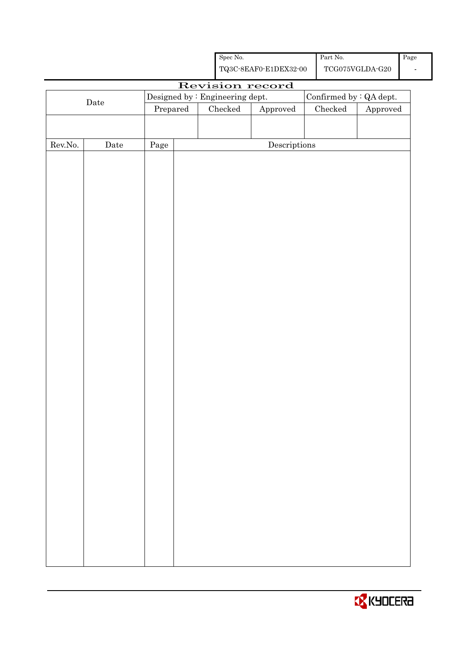|         |                                            |          |  | Spec No.                        |                                                    |  | Part No. $\,$ |                                         | Page |
|---------|--------------------------------------------|----------|--|---------------------------------|----------------------------------------------------|--|---------------|-----------------------------------------|------|
|         |                                            |          |  |                                 | ${\bf TQ3C\text{-}SEAF0\text{-}E1DEX32\text{-}00}$ |  |               | $\operatorname{TCG075VGLDA\text{-}G20}$ |      |
|         | Revision record<br>Confirmed by : QA dept. |          |  |                                 |                                                    |  |               |                                         |      |
|         | Date                                       |          |  | Designed by : Engineering dept. |                                                    |  |               |                                         |      |
|         |                                            | Prepared |  | Checked                         | Approved                                           |  | $\rm Checked$ | Approved                                |      |
|         |                                            |          |  |                                 |                                                    |  |               |                                         |      |
| Rev.No. | Date                                       | Page     |  |                                 | $\label{eq:2} \textbf{Descriptions}$               |  |               |                                         |      |
|         |                                            |          |  |                                 |                                                    |  |               |                                         |      |
|         |                                            |          |  |                                 |                                                    |  |               |                                         |      |
|         |                                            |          |  |                                 |                                                    |  |               |                                         |      |
|         |                                            |          |  |                                 |                                                    |  |               |                                         |      |
|         |                                            |          |  |                                 |                                                    |  |               |                                         |      |
|         |                                            |          |  |                                 |                                                    |  |               |                                         |      |
|         |                                            |          |  |                                 |                                                    |  |               |                                         |      |
|         |                                            |          |  |                                 |                                                    |  |               |                                         |      |
|         |                                            |          |  |                                 |                                                    |  |               |                                         |      |
|         |                                            |          |  |                                 |                                                    |  |               |                                         |      |
|         |                                            |          |  |                                 |                                                    |  |               |                                         |      |
|         |                                            |          |  |                                 |                                                    |  |               |                                         |      |
|         |                                            |          |  |                                 |                                                    |  |               |                                         |      |
|         |                                            |          |  |                                 |                                                    |  |               |                                         |      |
|         |                                            |          |  |                                 |                                                    |  |               |                                         |      |
|         |                                            |          |  |                                 |                                                    |  |               |                                         |      |
|         |                                            |          |  |                                 |                                                    |  |               |                                         |      |
|         |                                            |          |  |                                 |                                                    |  |               |                                         |      |
|         |                                            |          |  |                                 |                                                    |  |               |                                         |      |
|         |                                            |          |  |                                 |                                                    |  |               |                                         |      |
|         |                                            |          |  |                                 |                                                    |  |               |                                         |      |
|         |                                            |          |  |                                 |                                                    |  |               |                                         |      |
|         |                                            |          |  |                                 |                                                    |  |               |                                         |      |
|         |                                            |          |  |                                 |                                                    |  |               |                                         |      |
|         |                                            |          |  |                                 |                                                    |  |               |                                         |      |
|         |                                            |          |  |                                 |                                                    |  |               |                                         |      |
|         |                                            |          |  |                                 |                                                    |  |               |                                         |      |
|         |                                            |          |  |                                 |                                                    |  |               |                                         |      |
|         |                                            |          |  |                                 |                                                    |  |               |                                         |      |
|         |                                            |          |  |                                 |                                                    |  |               |                                         |      |

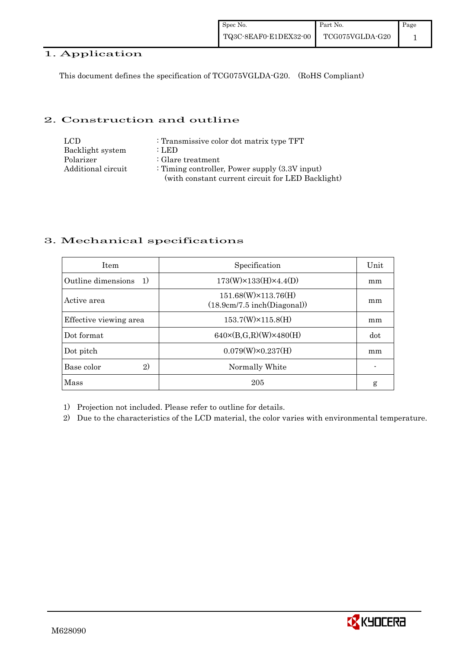### 1. Application

This document defines the specification of TCG075VGLDA-G20. (RoHS Compliant)

### 2. Construction and outline

| LCD.               | : Transmissive color dot matrix type TFT          |
|--------------------|---------------------------------------------------|
| Backlight system   | : LED                                             |
| Polarizer          | $\therefore$ Glare treatment                      |
| Additional circuit | : Timing controller, Power supply $(3.3V)$ input) |
|                    | (with constant current circuit for LED Backlight) |

### 3. Mechanical specifications

| <b>Item</b>                | Unit<br>Specification                                      |     |
|----------------------------|------------------------------------------------------------|-----|
| Outline dimensions<br>- 1) | $173(W) \times 133(H) \times 4.4(D)$                       | mm  |
| Active area                | $151.68(W)\times 113.76(H)$<br>(18.9cm/7.5 inch(Diagonal)) | mm  |
| Effective viewing area     | $153.7(W)\times 115.8(H)$                                  | mm  |
| Dot format                 | $640 \times (B,G,R)(W) \times 480(H)$                      | dot |
| Dot pitch                  | $0.079(W) \times 0.237(H)$                                 | mm  |
| 2)<br>Base color           | Normally White                                             |     |
| Mass                       | 205                                                        | g   |

1) Projection not included. Please refer to outline for details.

2) Due to the characteristics of the LCD material, the color varies with environmental temperature.

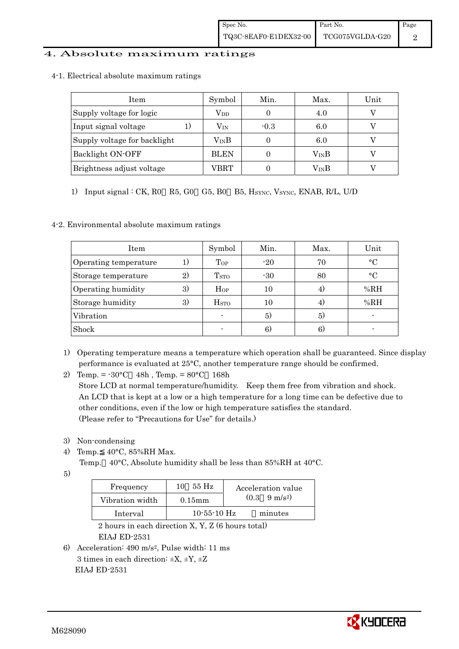#### 4. Absolute maximum ratings

4-1. Electrical absolute maximum ratings

| Item                         | Symbol           | Min.   | Max.          | Unit |
|------------------------------|------------------|--------|---------------|------|
| Supply voltage for logic     | $\rm V_{DD}$     |        | 4.0           |      |
| Input signal voltage         | $\rm V_{\rm IN}$ | $-0.3$ | 6.0           |      |
| Supply voltage for backlight | $\rm V_{IN}B$    |        | 6.0           |      |
| Backlight ON-OFF             | <b>BLEN</b>      |        | $\rm V_{IN}B$ |      |
| Brightness adjust voltage    | VBRT             |        | VinB          |      |

1) Input signal : CK, R0 R5, G0 G5, B0 B5, H<sub>SYNC</sub>, V<sub>SYNC</sub>, ENAB, R/L, U/D

### 4-2. Environmental absolute maximum ratings

| Item                  |              | Symbol                   | Min.  | Max. | Unit      |
|-----------------------|--------------|--------------------------|-------|------|-----------|
| Operating temperature |              | Top                      | $-20$ | 70   | $\circ$ C |
| Storage temperature   | $\mathbf{2}$ | T <sub>STO</sub>         | $-30$ | 80   | $\circ$ C |
| Operating humidity    | 3)           | Hop                      | 10    | 4.   | %RH       |
| Storage humidity      | 3)           | <b>H</b> <sub>sto</sub>  | 10    | 4)   | %RH       |
| Vibration             |              | $\overline{\phantom{0}}$ | 5)    | 5)   |           |
| Shock                 |              |                          | 6.    | 6.   |           |

- 1) Operating temperature means a temperature which operation shall be guaranteed. Since display performance is evaluated at 25°C, another temperature range should be confirmed.
- 2) Temp. = -30°C 48h , Temp. = 80°C 168h Store LCD at normal temperature/humidity. Keep them free from vibration and shock. An LCD that is kept at a low or a high temperature for a long time can be defective due to other conditions, even if the low or high temperature satisfies the standard. (Please refer to "Precautions for Use" for details.)
- 3) Non-condensing
- 4) Temp. 40°C, 85%RH Max.
	- Temp. 40°C, Absolute humidity shall be less than 85%RH at 40°C.
- 5)

| Frequency       | 55 Hz         | Acceleration value            |
|-----------------|---------------|-------------------------------|
| Vibration width | $0.15$ mm     | $(0.3 \quad 9 \text{ m/s}^2)$ |
| Interval        | $10-55-10$ Hz | minutes                       |

 2 hours in each direction X, Y, Z (6 hours total) EIAJ ED-2531

6) Acceleration: 490 m/s2, Pulse width: 11 ms 3 times in each direction:  $\pm X$ ,  $\pm Y$ ,  $\pm Z$ EIAJ ED-2531

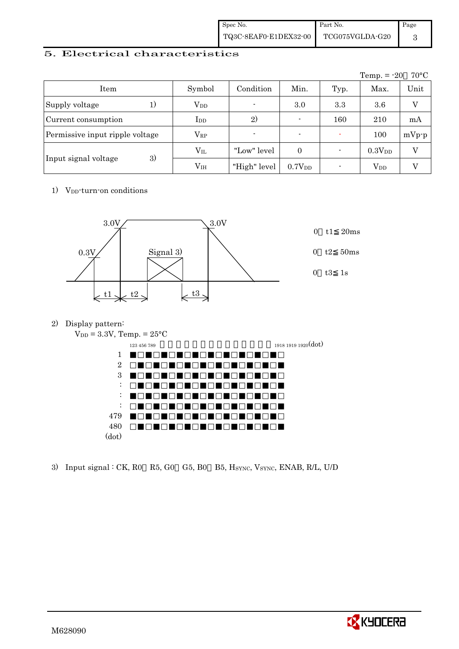| Spec No.              | Part No.        | Page |
|-----------------------|-----------------|------|
| TQ3C-8EAF0-E1DEX32-00 | TCG075VGLDA-G20 |      |

### 5. Electrical characteristics

|                                 |                        |                          |                    |      | Temp. $= -20$          | $70^{\circ}$ C |
|---------------------------------|------------------------|--------------------------|--------------------|------|------------------------|----------------|
| Item                            | Symbol                 | Condition                | Min.               | Typ. | Max.                   | Unit           |
| Supply voltage<br>1)            | <b>V</b> <sub>DD</sub> | $\blacksquare$           | 3.0                | 3.3  | 3.6                    | $\overline{V}$ |
| Current consumption             | $_{\rm{LDD}}$          | 2)                       | $\blacksquare$     | 160  | 210                    | mA             |
| Permissive input ripple voltage | $\rm V_{RP}$           | $\overline{\phantom{a}}$ | $\blacksquare$     |      | 100                    | $mVp-p$        |
|                                 | $\rm V_{II}$           | "Low" level              | $\Omega$           |      | 0.3V <sub>DD</sub>     | V              |
| 3)<br>Input signal voltage      | V <sub>IH</sub>        | "High" level             | 0.7V <sub>DD</sub> |      | <b>V</b> <sub>DD</sub> |                |

1) V<sub>DD</sub>-turn-on conditions



2) Display pattern:



| 1918 1919 1920(dot) | 123 456 789 |                           |
|---------------------|-------------|---------------------------|
|                     |             | 1                         |
|                     |             | $\overline{2}$            |
|                     |             | 3                         |
|                     |             | ٠<br>$\ddot{\phantom{0}}$ |
|                     |             | ٠<br>$\ddot{\phantom{a}}$ |
|                     |             | ٠<br>٠                    |
|                     |             | 479                       |
|                     |             | $480\,$                   |
|                     |             | (dot)                     |
|                     |             |                           |

3) Input signal : CK, R0 R5, G0 G5, B0 B5, HSYNC, VSYNC, ENAB, R/L, U/D

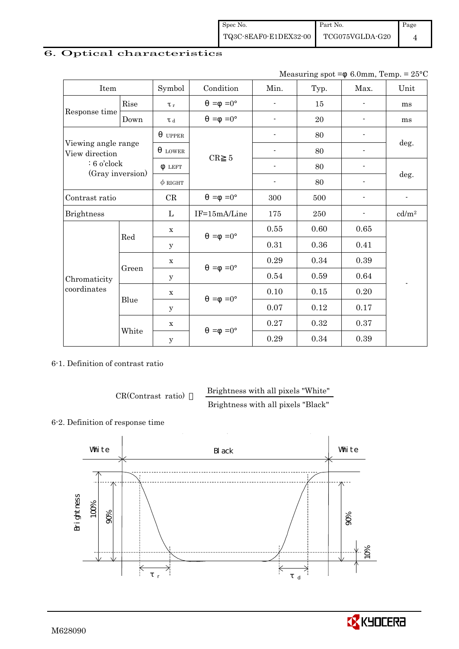### 6. Optical characteristics

|                                       |                              |              |                     |                          | Measuring spot $=$ |      | 6.0mm, Temp. = $25^{\circ}$ C |
|---------------------------------------|------------------------------|--------------|---------------------|--------------------------|--------------------|------|-------------------------------|
| Item                                  |                              | Symbol       | Condition           | Min.                     | Typ.               | Max. | Unit                          |
|                                       | Rise                         | $\tau$       | $=0^{\circ}$<br>$=$ |                          | 15                 |      | ms                            |
| Response time                         | Down                         | T d          | $=0^{\circ}$<br>$=$ |                          | 20                 |      | ms                            |
|                                       |                              | <b>UPPER</b> |                     |                          | 80                 |      |                               |
| Viewing angle range<br>View direction |                              | <b>LOWER</b> | $\overline{5}$      |                          | 80                 |      | deg.                          |
|                                       | $: 6$ o'clock<br><b>LEFT</b> |              | CR                  | $\overline{\phantom{0}}$ | 80                 |      |                               |
| (Gray inversion)                      |                              | $\phi$ RIGHT |                     | $\overline{\phantom{a}}$ | 80                 |      | deg.                          |
| Contrast ratio                        |                              | CR           | $=0^{\circ}$<br>$=$ | 300                      | 500                |      |                               |
| <b>Brightness</b>                     |                              | $\mathbf{L}$ | IF=15mA/Line        | 175                      | 250                |      | cd/m <sup>2</sup>             |
|                                       |                              | X            | $=0^{\circ}$<br>$=$ | 0.55                     | 0.60               | 0.65 |                               |
|                                       | Red                          | У            |                     | 0.31                     | 0.36               | 0.41 |                               |
|                                       |                              | $\mathbf x$  | $=0^{\circ}$<br>$=$ | 0.29                     | 0.34               | 0.39 |                               |
| Chromaticity                          | Green                        | y            |                     | 0.54                     | 0.59               | 0.64 |                               |
| coordinates                           |                              | $\mathbf X$  | $=0^{\circ}$<br>$=$ | 0.10                     | 0.15               | 0.20 |                               |
|                                       | Blue                         | $\mathbf{y}$ |                     | 0.07                     | 0.12               | 0.17 |                               |

6-1. Definition of contrast ratio

White

y

CR(Contrast ratio) Brightness with all pixels "White"

 $x \quad | \quad 0.27 \quad | \quad 0.32 \quad | \quad 0.37$ 

0.29 0.34 0.39

Brightness with all pixels "Black"

### 6-2. Definition of response time



 $=-0^{\circ}$ 

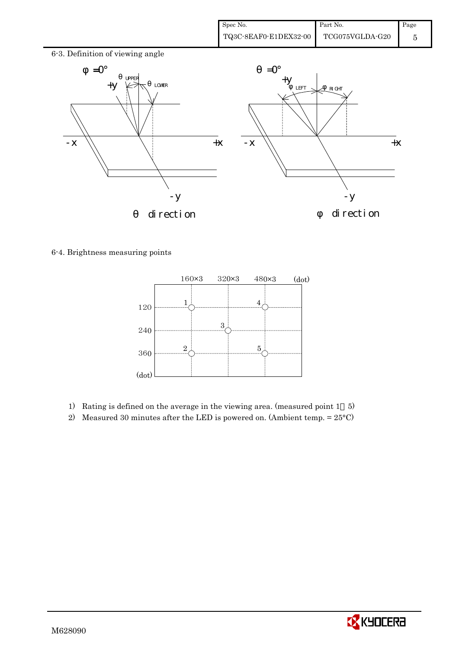

6-4. Brightness measuring points



- 1) Rating is defined on the average in the viewing area. (measured point 1 5)
- 2) Measured 30 minutes after the LED is powered on. (Ambient temp.  $= 25^{\circ}$ C)

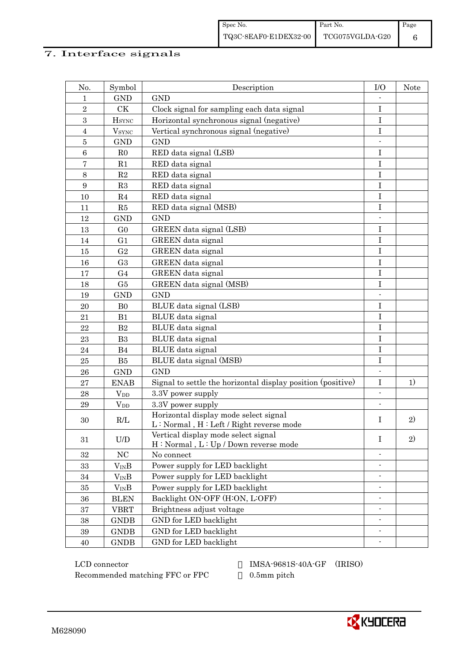### 7. Interface signals

| No.              | Symbol         | Description                                                                      | I/O                      | <b>Note</b> |
|------------------|----------------|----------------------------------------------------------------------------------|--------------------------|-------------|
| 1                | <b>GND</b>     | <b>GND</b>                                                                       |                          |             |
| $\overline{2}$   | CK             | Clock signal for sampling each data signal                                       | I                        |             |
| 3                | $H_{\rm SYNC}$ | Horizontal synchronous signal (negative)                                         | I                        |             |
| $\overline{4}$   | $V_{\rm SYNC}$ | Vertical synchronous signal (negative)                                           | I                        |             |
| $\bf 5$          | <b>GND</b>     | <b>GND</b>                                                                       |                          |             |
| $6\phantom{1}6$  | R <sub>0</sub> | RED data signal (LSB)                                                            | I                        |             |
| $\bf 7$          | R1             | RED data signal                                                                  | I                        |             |
| 8                | R2             | RED data signal                                                                  | $\bf I$                  |             |
| $\boldsymbol{9}$ | R3             | RED data signal                                                                  | I                        |             |
| 10               | R <sub>4</sub> | RED data signal                                                                  | I                        |             |
| 11               | R5             | RED data signal (MSB)                                                            | I                        |             |
| 12               | <b>GND</b>     | <b>GND</b>                                                                       |                          |             |
| 13               | G <sub>0</sub> | GREEN data signal (LSB)                                                          | I                        |             |
| 14               | G <sub>1</sub> | GREEN data signal                                                                | $\mathbf I$              |             |
| 15               | G <sub>2</sub> | <b>GREEN</b> data signal                                                         | I                        |             |
| 16               | G <sub>3</sub> | GREEN data signal                                                                | I                        |             |
| 17               | G <sub>4</sub> | GREEN data signal                                                                | I                        |             |
| 18               | G5             | GREEN data signal (MSB)                                                          | $\bf I$                  |             |
| 19               | <b>GND</b>     | <b>GND</b>                                                                       |                          |             |
| 20               | B <sub>0</sub> | BLUE data signal (LSB)                                                           | $\mathbf I$              |             |
| 21               | B1             | BLUE data signal                                                                 | I                        |             |
| 22               | B <sub>2</sub> | BLUE data signal                                                                 | I                        |             |
| 23               | B <sub>3</sub> | BLUE data signal                                                                 | I                        |             |
| $\sqrt{24}$      | B <sub>4</sub> | BLUE data signal                                                                 | I                        |             |
| 25               | B5             | BLUE data signal (MSB)                                                           | $\mathbf I$              |             |
| 26               | <b>GND</b>     | <b>GND</b>                                                                       |                          |             |
| 27               | <b>ENAB</b>    | Signal to settle the horizontal display position (positive)                      | $\mathbf I$              | 1)          |
| 28               | $V_{DD}$       | 3.3V power supply                                                                | $\overline{\phantom{a}}$ |             |
| 29               | $V_{DD}$       | 3.3V power supply                                                                |                          |             |
| 30               | R/L            | Horizontal display mode select signal<br>L: Normal, H: Left / Right reverse mode | Ι                        | 2)          |
| 31               | U/D            | Vertical display mode select signal<br>H: Normal, L: Up / Down reverse mode      | $\mathbf I$              | 2)          |
| 32               | NC             | No connect                                                                       |                          |             |
| 33               | $V_{IN}B$      | Power supply for LED backlight                                                   | $\overline{\phantom{a}}$ |             |
| 34               | $V_{IN}B$      | Power supply for LED backlight                                                   |                          |             |
| 35               | $V_{IN}B$      | Power supply for LED backlight                                                   |                          |             |
| 36               | <b>BLEN</b>    | Backlight ON-OFF (H:ON, L:OFF)                                                   |                          |             |
| $37\,$           | <b>VBRT</b>    | Brightness adjust voltage                                                        |                          |             |
| 38               | <b>GNDB</b>    | GND for LED backlight                                                            |                          |             |
| 39               | <b>GNDB</b>    | GND for LED backlight                                                            | $\overline{\phantom{a}}$ |             |
| 40               | <b>GNDB</b>    | GND for LED backlight                                                            |                          |             |

 LCD connector IMSA-9681S-40A-GF (IRISO) Recommended matching FFC or FPC 0.5mm pitch

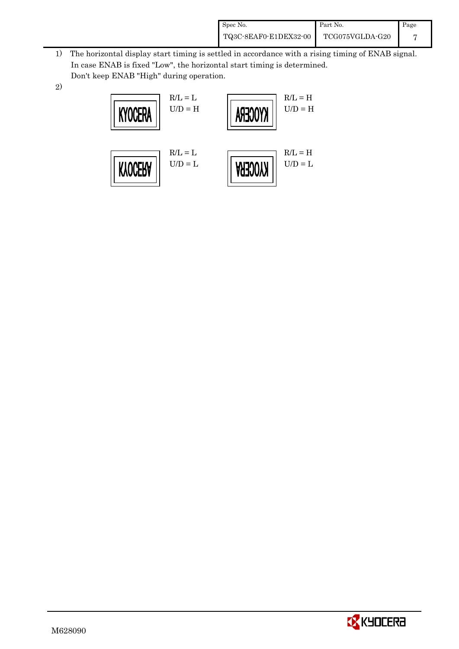| Spec No.              | Part No.        | Page |
|-----------------------|-----------------|------|
| TQ3C-8EAF0-E1DEX32-00 | TCG075VGLDA-G20 |      |

- 1) The horizontal display start timing is settled in accordance with a rising timing of ENAB signal. In case ENAB is fixed "Low", the horizontal start timing is determined. Don't keep ENAB "High" during operation.
- 2)



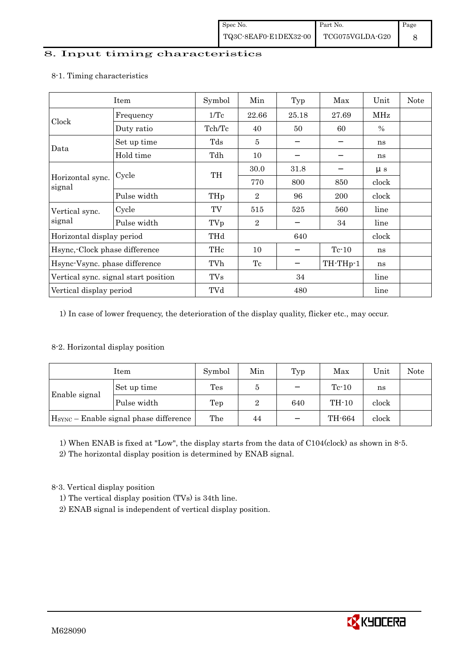#### 8. Input timing characteristics

|                                      | Item        | Symbol | Min              | Typ   | Max      | Unit    | Note |
|--------------------------------------|-------------|--------|------------------|-------|----------|---------|------|
|                                      | Frequency   | 1/Tc   | 22.66            | 25.18 | 27.69    | MHz     |      |
| Clock                                | Duty ratio  | Tch/Tc | 40               | 50    | 60       | $\%$    |      |
| Data                                 | Set up time | Tds    | 5                |       |          | ns      |      |
|                                      | Hold time   | Tdh    | 10               |       |          | ns      |      |
|                                      |             | TH     | 30.0             | 31.8  |          | $\mu$ s |      |
| Horizontal sync.<br>signal           | Cycle       |        | 770              | 800   | 850      | clock   |      |
|                                      | Pulse width | THp    | $\overline{2}$   | 96    | 200      | clock   |      |
| Vertical sync.                       | Cycle       | TV     | 515              | 525   | 560      | line    |      |
| signal                               | Pulse width | TVp    | $\boldsymbol{2}$ |       | 34       | line    |      |
| Horizontal display period            |             | THd    | 640              |       |          | clock   |      |
| Hsync, Clock phase difference        |             | THc    | 10               |       | $Tc-10$  | ns      |      |
| Hsync-Vsync. phase difference        |             | TVh    | Tc               |       | TH-THp-1 | ns      |      |
| Vertical sync. signal start position |             | TVs    | 34               |       |          | line    |      |
| Vertical display period              |             | TVd    | 480              |       |          | line    |      |

#### 8-1. Timing characteristics

1) In case of lower frequency, the deterioration of the display quality, flicker etc., may occur.

### 8-2. Horizontal display position

|                                                    | Item        | Symbol         | Min | Typ | Max     | Unit  | <b>Note</b> |
|----------------------------------------------------|-------------|----------------|-----|-----|---------|-------|-------------|
|                                                    | Set up time | $\mathrm{Tes}$ | 5   |     | $Te-10$ | ns    |             |
| Enable signal                                      | Pulse width | Tep            | 2   | 640 | $TH-10$ | clock |             |
| H <sub>SYNC</sub> - Enable signal phase difference |             | The            | 44  |     | TH-664  | clock |             |

1) When ENAB is fixed at "Low", the display starts from the data of C104(clock) as shown in 8-5.

2) The horizontal display position is determined by ENAB signal.

8-3. Vertical display position

- 1) The vertical display position (TVs) is 34th line.
- 2) ENAB signal is independent of vertical display position.

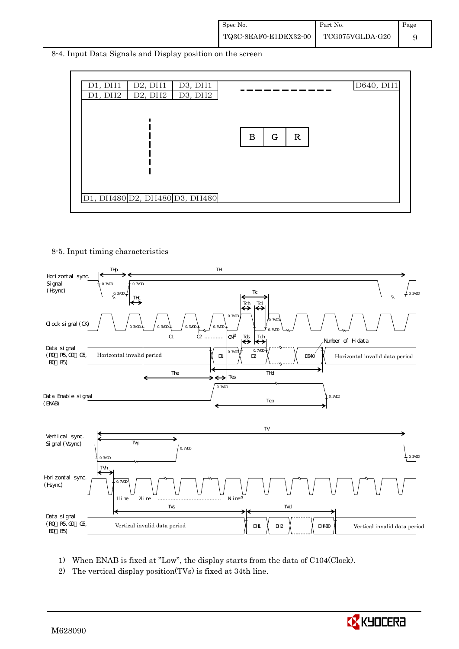8-4. Input Data Signals and Display position on the screen



8-5. Input timing characteristics



- 1) When ENAB is fixed at "Low", the display starts from the data of C104(Clock).
- 2) The vertical display position(TVs) is fixed at 34th line.

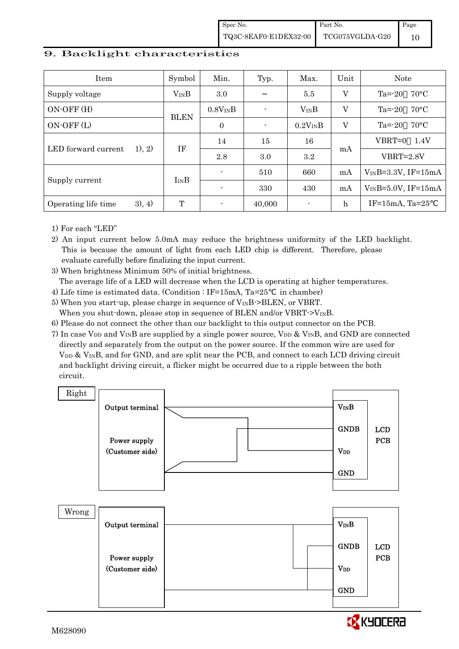Spec No. TQ3C-8EAF0-E1DEX32-00 Part No. TCG075VGLDA-G20 Page 10

#### 9. Backlight characteristics

| <b>Item</b>                   | Symbol      | Min.           | Typ.                     | Max.           | Unit        | <b>Note</b>                 |
|-------------------------------|-------------|----------------|--------------------------|----------------|-------------|-----------------------------|
| Supply voltage                | $V_{IN}B$   | 3.0            |                          | 5.5            | V           | $70^{\circ}$ C<br>$Ta = 20$ |
| ON-OFF (H)                    | <b>BLEN</b> | $0.8V_{IN}B$   |                          | $V_{IN}B$      | V           | $70^{\circ}$ C<br>$Ta = 20$ |
| ON-OFF (L)                    |             | $\mathbf{0}$   | $\overline{\phantom{0}}$ | $0.2V_{IN}B$   | $\rm V$     | $70^{\circ}$ C<br>$Ta = 20$ |
| LED forward current<br>1), 2) | IF          | 14             | 15                       | 16             | mA          | VBRT=0<br>1.4V              |
|                               |             | 2.8            | 3.0                      | 3.2            |             | $VBRT = 2.8V$               |
|                               | $I_{IN}B$   | $\blacksquare$ | 510                      | 660            | mA          | $V_{IN}B=3.3V$ , IF=15mA    |
| Supply current                |             |                | 330                      | 430            | mA          | $V_{IN}B=5.0V$ , IF=15mA    |
| 3), 4)<br>Operating life time | T           |                | 40,000                   | $\blacksquare$ | $\mathbf h$ | IF= $15mA$ , Ta= $25$       |

1) For each "LED"

2) An input current below 5.0mA may reduce the brightness uniformity of the LED backlight. This is because the amount of light from each LED chip is different. Therefore, please evaluate carefully before finalizing the input current.

3) When brightness Minimum 50% of initial brightness.

The average life of a LED will decrease when the LCD is operating at higher temperatures.

- 4) Life time is estimated data. (Condition : IF=15mA, Ta=25 in chamber)
- 5) When you start-up, please charge in sequence of  $V_{\text{IN}}B$ ->BLEN, or VBRT. When you shut-down, please stop in sequence of BLEN and/or VBRT- $>V_{\text{IN}}B$ .
- 6) Please do not connect the other than our backlight to this output connector on the PCB.
- 7) In case V<sub>DD</sub> and V<sub>IN</sub>B are supplied by a single power source, V<sub>DD</sub> & V<sub>IN</sub>B, and GND are connected directly and separately from the output on the power source. If the common wire are used for V<sub>DD</sub> & V<sub>IN</sub>B, and for GND, and are split near the PCB, and connect to each LCD driving circuit and backlight driving circuit, a flicker might be occurred due to a ripple between the both circuit.

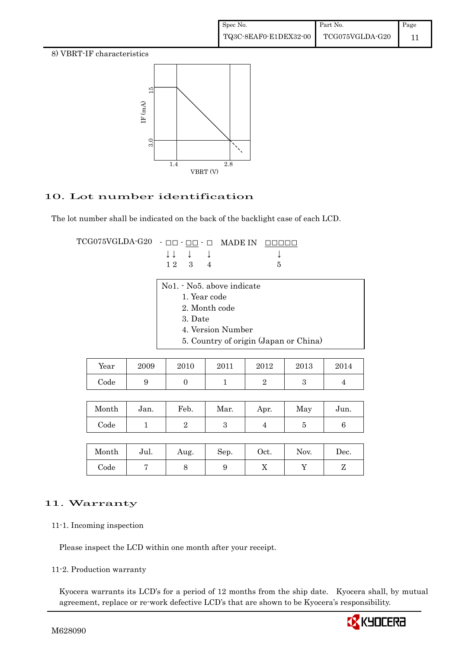8) VBRT-IF characteristics



### 10. Lot number identification

The lot number shall be indicated on the back of the backlight case of each LCD.

TCG075VGLDA-G20 - □□ - □□ - □ MADE IN □□□□□ ↓ ↓ ↓ ↓ ↓  $1 2 3 4 5$ 

| No1. - No5. above indicate            |
|---------------------------------------|
| 1. Year code                          |
| 2. Month code                         |
| 3. Date                               |
| 4. Version Number                     |
| 5. Country of origin (Japan or China) |

| Year       | 2009 | 2010 | 2011 | 2012 | 2013 | 2014 |
|------------|------|------|------|------|------|------|
| $\rm Code$ | ບ    |      |      |      | ັ    |      |

| Month | Jan. | Feb. | Mar. | Apr. | May | Jun. |
|-------|------|------|------|------|-----|------|
| Code  |      |      |      | ᅩ    |     |      |

| Month      | Jul. | Aug. | Sep. | Oct. | Nov. | Dec. |
|------------|------|------|------|------|------|------|
| $\rm Code$ |      | U    |      | 77   |      | -    |

### 11. Warranty

11-1. Incoming inspection

Please inspect the LCD within one month after your receipt.

11-2. Production warranty

 Kyocera warrants its LCD's for a period of 12 months from the ship date. Kyocera shall, by mutual agreement, replace or re-work defective LCD's that are shown to be Kyocera's responsibility.

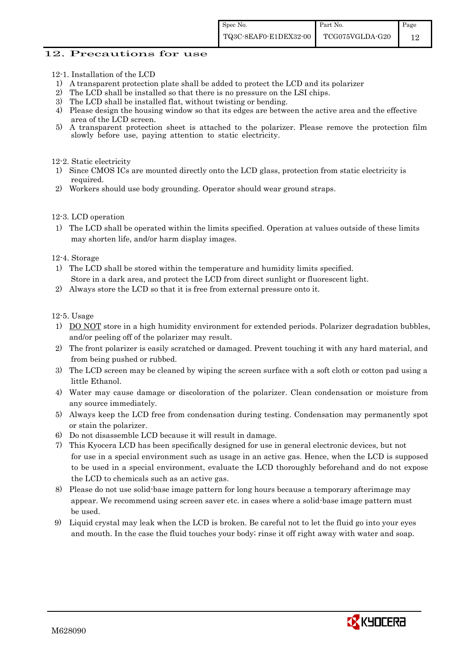#### 12. Precautions for use

- 12-1. Installation of the LCD
- 1) A transparent protection plate shall be added to protect the LCD and its polarizer
- 2) The LCD shall be installed so that there is no pressure on the LSI chips.
- 3) The LCD shall be installed flat, without twisting or bending.
- 4) Please design the housing window so that its edges are between the active area and the effective area of the LCD screen.<br>5) A transparent protection
- 5) A transparent protection sheet is attached to the polarizer. Please remove the protection film slowly before use, paying attention to static electricity.

12-2. Static electricity

- 1) Since CMOS ICs are mounted directly onto the LCD glass, protection from static electricity is required.
- 2) Workers should use body grounding. Operator should wear ground straps.

12-3. LCD operation

1) The LCD shall be operated within the limits specified. Operation at values outside of these limits may shorten life, and/or harm display images.

12-4. Storage

- 1) The LCD shall be stored within the temperature and humidity limits specified. Store in a dark area, and protect the LCD from direct sunlight or fluorescent light.
- 2) Always store the LCD so that it is free from external pressure onto it.

12-5. Usage

- 1) DO NOT store in a high humidity environment for extended periods. Polarizer degradation bubbles, and/or peeling off of the polarizer may result.
- 2) The front polarizer is easily scratched or damaged. Prevent touching it with any hard material, and from being pushed or rubbed.
- 3) The LCD screen may be cleaned by wiping the screen surface with a soft cloth or cotton pad using a little Ethanol.
- 4) Water may cause damage or discoloration of the polarizer. Clean condensation or moisture from any source immediately.
- 5) Always keep the LCD free from condensation during testing. Condensation may permanently spot or stain the polarizer.
- 6) Do not disassemble LCD because it will result in damage.
- 7) This Kyocera LCD has been specifically designed for use in general electronic devices, but not for use in a special environment such as usage in an active gas. Hence, when the LCD is supposed to be used in a special environment, evaluate the LCD thoroughly beforehand and do not expose the LCD to chemicals such as an active gas.
- 8) Please do not use solid-base image pattern for long hours because a temporary afterimage may appear. We recommend using screen saver etc. in cases where a solid-base image pattern must be used.
- 9) Liquid crystal may leak when the LCD is broken. Be careful not to let the fluid go into your eyes and mouth. In the case the fluid touches your body; rinse it off right away with water and soap.

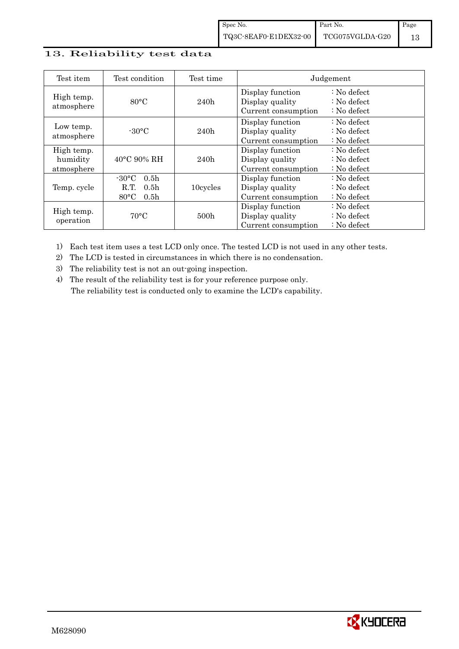### 13. Reliability test data

| Test item                            | Test condition                                                                                        | Test time        |                                                            | Judgement                                                                  |
|--------------------------------------|-------------------------------------------------------------------------------------------------------|------------------|------------------------------------------------------------|----------------------------------------------------------------------------|
| High temp.<br>atmosphere             | $80^{\circ}$ C                                                                                        | 240h             | Display function<br>Display quality<br>Current consumption | $\therefore$ No defect<br>$\therefore$ No defect<br>$\therefore$ No defect |
| Low temp.<br>atmosphere              | $-30$ °C                                                                                              | 240h             | Display function<br>Display quality<br>Current consumption | $\therefore$ No defect<br>: No defect<br>$\therefore$ No defect            |
| High temp.<br>humidity<br>atmosphere | $40^{\circ}$ C 90% RH                                                                                 | 240h             | Display function<br>Display quality<br>Current consumption | : No defect<br>$\therefore$ No defect<br>$\therefore$ No defect            |
| Temp. cycle                          | $-30^{\circ}$ C<br>0.5 <sub>h</sub><br>0.5 <sub>h</sub><br>R.T.<br>$80^{\circ}$ C<br>0.5 <sub>h</sub> | 10cycles         | Display function<br>Display quality<br>Current consumption | $\therefore$ No defect<br>$\therefore$ No defect<br>$\therefore$ No defect |
| High temp.<br>operation              | $70^{\circ}$ C                                                                                        | 500 <sub>h</sub> | Display function<br>Display quality<br>Current consumption | : No defect<br>$\therefore$ No defect<br>$\therefore$ No defect            |

1) Each test item uses a test LCD only once. The tested LCD is not used in any other tests.

2) The LCD is tested in circumstances in which there is no condensation.

3) The reliability test is not an out-going inspection.

4) The result of the reliability test is for your reference purpose only. The reliability test is conducted only to examine the LCD's capability.

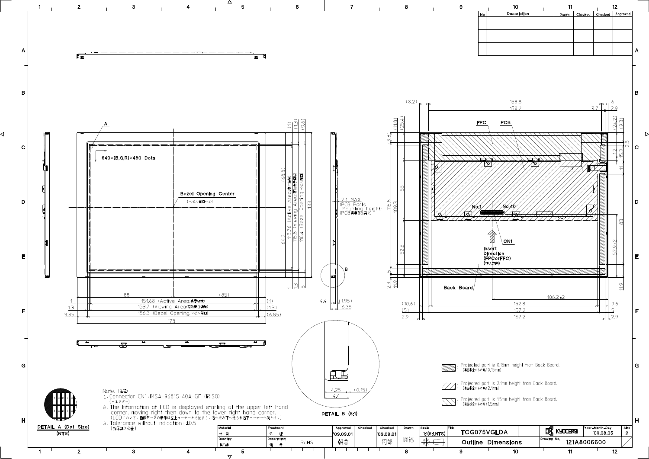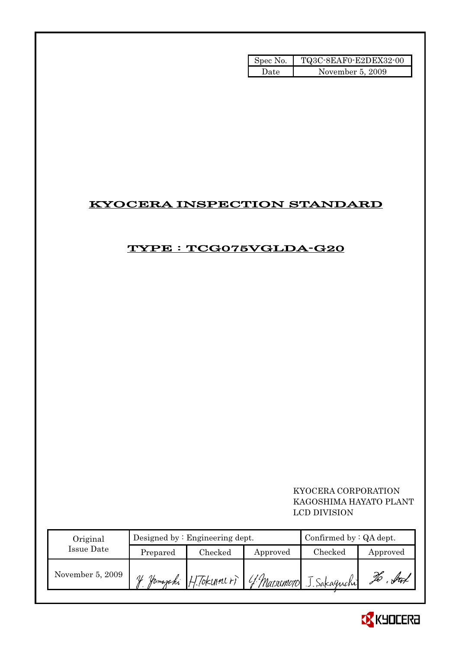| Spec No. | TQ3C-8EAF0-E2DEX32-00 |
|----------|-----------------------|
| Date     | November 5, 2009      |

## KYOCERA INSPECTION STANDARD

## TYPE : TCG075VGLDA-G20

 KYOCERA CORPORATION KAGOSHIMA HAYATO PLANT LCD DIVISION

| Original         |               | Designed by $:$ Engineering dept. | Confirmed by $:QA$ dept. |                                                |          |
|------------------|---------------|-----------------------------------|--------------------------|------------------------------------------------|----------|
| Issue Date       | Prepared      | Checked                           | Approved                 | Checked                                        | Approved |
| November 5, 2009 | $\mathcal{U}$ |                                   |                          | Jomapaki H. Tokunneri 4 Matsumoto J. Sakaguchi | ful      |

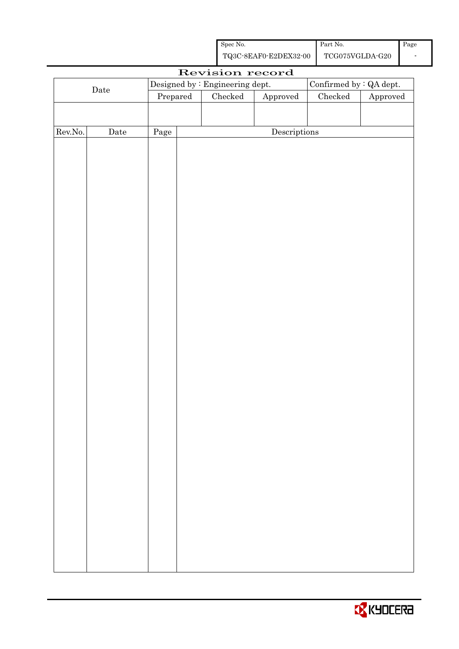| Spec No.              | Part No.        | Page |
|-----------------------|-----------------|------|
| TQ3C-8EAF0-E2DEX32-00 | TCG075VGLDA-G20 |      |

|         |             |                                 |  | Revision record |                        |                          |          |  |
|---------|-------------|---------------------------------|--|-----------------|------------------------|--------------------------|----------|--|
|         |             | Designed by : Engineering dept. |  |                 |                        | Confirmed by $:QA$ dept. |          |  |
|         | $\rm{Date}$ | Prepared                        |  | Checked         | ${\Large\bf Approved}$ | $\rm Checked$            | Approved |  |
|         |             |                                 |  |                 |                        |                          |          |  |
|         |             |                                 |  |                 |                        |                          |          |  |
| Rev.No. | $\rm{Date}$ | Page                            |  |                 | Descriptions           |                          |          |  |
|         |             |                                 |  |                 |                        |                          |          |  |
|         |             |                                 |  |                 |                        |                          |          |  |
|         |             |                                 |  |                 |                        |                          |          |  |
|         |             |                                 |  |                 |                        |                          |          |  |
|         |             |                                 |  |                 |                        |                          |          |  |
|         |             |                                 |  |                 |                        |                          |          |  |
|         |             |                                 |  |                 |                        |                          |          |  |
|         |             |                                 |  |                 |                        |                          |          |  |
|         |             |                                 |  |                 |                        |                          |          |  |
|         |             |                                 |  |                 |                        |                          |          |  |
|         |             |                                 |  |                 |                        |                          |          |  |
|         |             |                                 |  |                 |                        |                          |          |  |
|         |             |                                 |  |                 |                        |                          |          |  |
|         |             |                                 |  |                 |                        |                          |          |  |
|         |             |                                 |  |                 |                        |                          |          |  |
|         |             |                                 |  |                 |                        |                          |          |  |
|         |             |                                 |  |                 |                        |                          |          |  |
|         |             |                                 |  |                 |                        |                          |          |  |
|         |             |                                 |  |                 |                        |                          |          |  |
|         |             |                                 |  |                 |                        |                          |          |  |
|         |             |                                 |  |                 |                        |                          |          |  |
|         |             |                                 |  |                 |                        |                          |          |  |
|         |             |                                 |  |                 |                        |                          |          |  |
|         |             |                                 |  |                 |                        |                          |          |  |
|         |             |                                 |  |                 |                        |                          |          |  |
|         |             |                                 |  |                 |                        |                          |          |  |
|         |             |                                 |  |                 |                        |                          |          |  |
|         |             |                                 |  |                 |                        |                          |          |  |
|         |             |                                 |  |                 |                        |                          |          |  |
|         |             |                                 |  |                 |                        |                          |          |  |
|         |             |                                 |  |                 |                        |                          |          |  |
|         |             |                                 |  |                 |                        |                          |          |  |
|         |             |                                 |  |                 |                        |                          |          |  |
|         |             |                                 |  |                 |                        |                          |          |  |
|         |             |                                 |  |                 |                        |                          |          |  |
|         |             |                                 |  |                 |                        |                          |          |  |

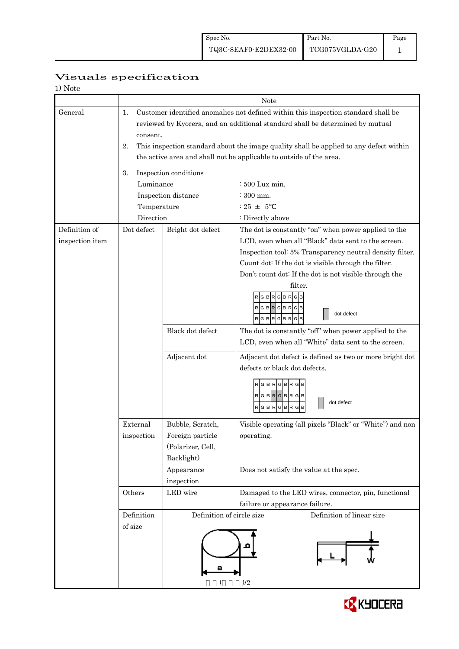| 1) Note         |                                                                                              |                           |                                                                     |  |  |  |  |
|-----------------|----------------------------------------------------------------------------------------------|---------------------------|---------------------------------------------------------------------|--|--|--|--|
|                 |                                                                                              | Note                      |                                                                     |  |  |  |  |
| General         | Customer identified anomalies not defined within this inspection standard shall be<br>1.     |                           |                                                                     |  |  |  |  |
|                 | reviewed by Kyocera, and an additional standard shall be determined by mutual                |                           |                                                                     |  |  |  |  |
|                 | consent.                                                                                     |                           |                                                                     |  |  |  |  |
|                 | 2.<br>This inspection standard about the image quality shall be applied to any defect within |                           |                                                                     |  |  |  |  |
|                 |                                                                                              |                           | the active area and shall not be applicable to outside of the area. |  |  |  |  |
|                 | Inspection conditions<br>3.                                                                  |                           |                                                                     |  |  |  |  |
|                 | Luminance                                                                                    |                           | $\div 500$ Lux min.                                                 |  |  |  |  |
|                 |                                                                                              | Inspection distance       | $\div$ 300 mm.                                                      |  |  |  |  |
|                 | Temperature                                                                                  |                           | $: 25 + 5$                                                          |  |  |  |  |
|                 | Direction                                                                                    |                           | : Directly above                                                    |  |  |  |  |
| Definition of   | Dot defect                                                                                   | Bright dot defect         | The dot is constantly "on" when power applied to the                |  |  |  |  |
| inspection item |                                                                                              |                           | LCD, even when all "Black" data sent to the screen.                 |  |  |  |  |
|                 |                                                                                              |                           | Inspection tool: 5% Transparency neutral density filter.            |  |  |  |  |
|                 |                                                                                              |                           | Count dot: If the dot is visible through the filter.                |  |  |  |  |
|                 |                                                                                              |                           | Don't count dot: If the dot is not visible through the              |  |  |  |  |
|                 |                                                                                              |                           | filter.                                                             |  |  |  |  |
|                 |                                                                                              |                           | в<br>R <sub>G</sub><br>G                                            |  |  |  |  |
|                 |                                                                                              |                           | RGBRGBRGB<br>dot defect<br>RGBRGBRGB                                |  |  |  |  |
|                 |                                                                                              | Black dot defect          | The dot is constantly "off" when power applied to the               |  |  |  |  |
|                 |                                                                                              |                           | LCD, even when all "White" data sent to the screen.                 |  |  |  |  |
|                 |                                                                                              | Adjacent dot              | Adjacent dot defect is defined as two or more bright dot            |  |  |  |  |
|                 |                                                                                              |                           | defects or black dot defects.                                       |  |  |  |  |
|                 |                                                                                              |                           | RGBRGBRGB                                                           |  |  |  |  |
|                 |                                                                                              |                           | $RG$ B $RG$ B $RG$ B                                                |  |  |  |  |
|                 |                                                                                              |                           | dot defect<br>RGBRGBR<br>G                                          |  |  |  |  |
|                 |                                                                                              |                           |                                                                     |  |  |  |  |
|                 | External                                                                                     | Bubble, Scratch,          | Visible operating (all pixels "Black" or "White") and non           |  |  |  |  |
|                 | inspection                                                                                   | Foreign particle          | operating.                                                          |  |  |  |  |
|                 |                                                                                              | (Polarizer, Cell,         |                                                                     |  |  |  |  |
|                 |                                                                                              | Backlight)                |                                                                     |  |  |  |  |
|                 |                                                                                              | Appearance                | Does not satisfy the value at the spec.                             |  |  |  |  |
|                 | Others                                                                                       | inspection<br>LED wire    | Damaged to the LED wires, connector, pin, functional                |  |  |  |  |
|                 |                                                                                              |                           | failure or appearance failure.                                      |  |  |  |  |
|                 | Definition                                                                                   | Definition of circle size | Definition of linear size                                           |  |  |  |  |
|                 | of size                                                                                      |                           |                                                                     |  |  |  |  |
|                 |                                                                                              |                           |                                                                     |  |  |  |  |
|                 |                                                                                              |                           |                                                                     |  |  |  |  |
|                 |                                                                                              |                           |                                                                     |  |  |  |  |
|                 |                                                                                              |                           |                                                                     |  |  |  |  |
|                 |                                                                                              |                           | )/2                                                                 |  |  |  |  |